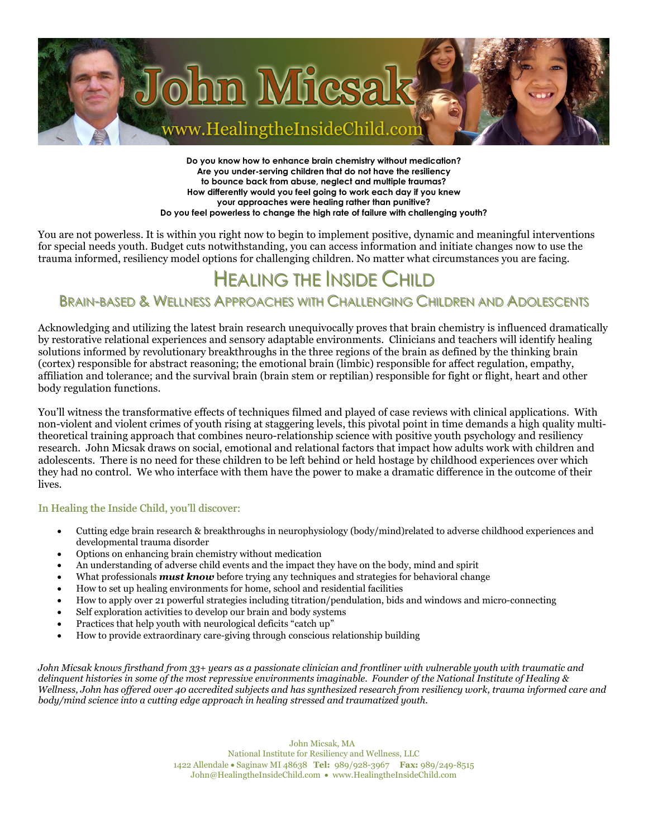

**Do you know how to enhance brain chemistry without medication? Are you under-serving children that do not have the resiliency to bounce back from abuse, neglect and multiple traumas? How differently would you feel going to work each day if you knew your approaches were healing rather than punitive? Do you feel powerless to change the high rate of failure with challenging youth?** 

You are not powerless. It is within you right now to begin to implement positive, dynamic and meaningful interventions for special needs youth. Budget cuts notwithstanding, you can access information and initiate changes now to use the trauma informed, resiliency model options for challenging children. No matter what circumstances you are facing.

# HEALING THE INSIDE CHILD

## BRAIN-BASED & WELLNESS APPROACHES WITH CHALLENGING CHILDREN AND ADOLESCENTS

Acknowledging and utilizing the latest brain research unequivocally proves that brain chemistry is influenced dramatically by restorative relational experiences and sensory adaptable environments. Clinicians and teachers will identify healing solutions informed by revolutionary breakthroughs in the three regions of the brain as defined by the thinking brain (cortex) responsible for abstract reasoning; the emotional brain (limbic) responsible for affect regulation, empathy, affiliation and tolerance; and the survival brain (brain stem or reptilian) responsible for fight or flight, heart and other body regulation functions.

You'll witness the transformative effects of techniques filmed and played of case reviews with clinical applications. With non-violent and violent crimes of youth rising at staggering levels, this pivotal point in time demands a high quality multitheoretical training approach that combines neuro-relationship science with positive youth psychology and resiliency research. John Micsak draws on social, emotional and relational factors that impact how adults work with children and adolescents. There is no need for these children to be left behind or held hostage by childhood experiences over which they had no control. We who interface with them have the power to make a dramatic difference in the outcome of their lives.

#### In Healing the Inside Child, you'll discover:

- Cutting edge brain research & breakthroughs in neurophysiology (body/mind)related to adverse childhood experiences and developmental trauma disorder
- Options on enhancing brain chemistry without medication
- An understanding of adverse child events and the impact they have on the body, mind and spirit
- What professionals *must know* before trying any techniques and strategies for behavioral change
- How to set up healing environments for home, school and residential facilities
- How to apply over 21 powerful strategies including titration/pendulation, bids and windows and micro-connecting
- Self exploration activities to develop our brain and body systems
- Practices that help youth with neurological deficits "catch up"
- How to provide extraordinary care-giving through conscious relationship building

*John Micsak knows firsthand from 33+ years as a passionate clinician and frontliner with vulnerable youth with traumatic and delinquent histories in some of the most repressive environments imaginable. Founder of the National Institute of Healing & Wellness, John has offered over 40 accredited subjects and has synthesized research from resiliency work, trauma informed care and body/mind science into a cutting edge approach in healing stressed and traumatized youth.* 

> John Micsak, MA National Institute for Resiliency and Wellness, LLC 1422 Allendale • Saginaw MI 48638 **Tel:** 989/928-3967 **Fax:** 989/249-8515 John@HealingtheInsideChild.com • www.HealingtheInsideChild.com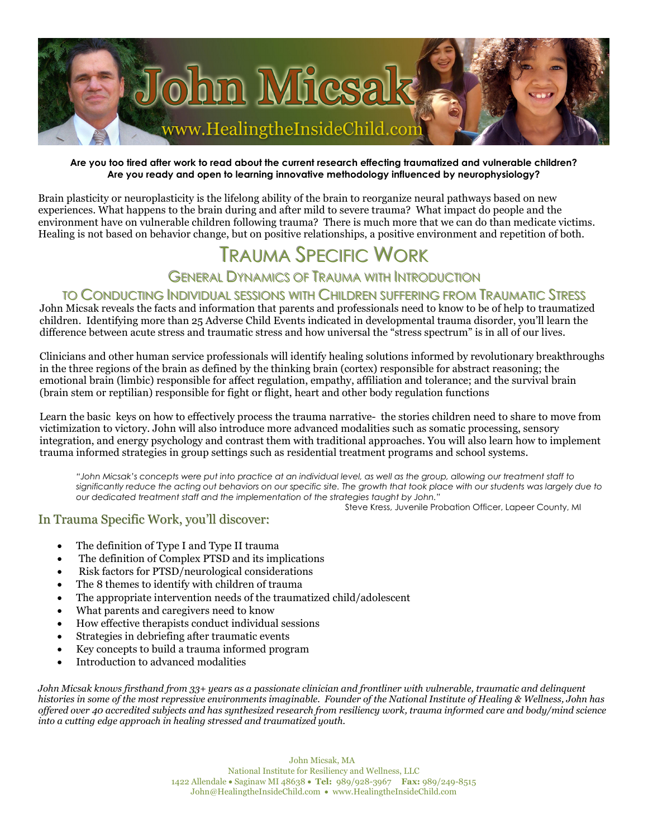

#### **Are you too tired after work to read about the current research effecting traumatized and vulnerable children? Are you ready and open to learning innovative methodology influenced by neurophysiology?**

Brain plasticity or neuroplasticity is the lifelong ability of the brain to reorganize neural pathways based on new experiences. What happens to the brain during and after mild to severe trauma? What impact do people and the environment have on vulnerable children following trauma? There is much more that we can do than medicate victims. Healing is not based on behavior change, but on positive relationships, a positive environment and repetition of both.

## Trauma Specific Work

## GENERAL DYNAMICS OF TRAUMA WITH INTRODUCTION

## TO CONDUCTING INDIVIDUAL SESSIONS WITH CHILDREN SUFFERING FROM TRAUMATIC STRESS

John Micsak reveals the facts and information that parents and professionals need to know to be of help to traumatized children. Identifying more than 25 Adverse Child Events indicated in developmental trauma disorder, you'll learn the difference between acute stress and traumatic stress and how universal the "stress spectrum" is in all of our lives.

Clinicians and other human service professionals will identify healing solutions informed by revolutionary breakthroughs in the three regions of the brain as defined by the thinking brain (cortex) responsible for abstract reasoning; the emotional brain (limbic) responsible for affect regulation, empathy, affiliation and tolerance; and the survival brain (brain stem or reptilian) responsible for fight or flight, heart and other body regulation functions

Learn the basic keys on how to effectively process the trauma narrative- the stories children need to share to move from victimization to victory. John will also introduce more advanced modalities such as somatic processing, sensory integration, and energy psychology and contrast them with traditional approaches. You will also learn how to implement trauma informed strategies in group settings such as residential treatment programs and school systems.

*"John Micsak's concepts were put into practice at an individual level, as well as the group, allowing our treatment staff to significantly reduce the acting out behaviors on our specific site. The growth that took place with our students was largely due to our dedicated treatment staff and the implementation of the strategies taught by John."* 

Steve Kress, Juvenile Probation Officer, Lapeer County, MI

#### In Trauma Specific Work, you'll discover:

- The definition of Type I and Type II trauma
- The definition of Complex PTSD and its implications
- Risk factors for PTSD/neurological considerations
- The 8 themes to identify with children of trauma
- The appropriate intervention needs of the traumatized child/adolescent
- What parents and caregivers need to know
- How effective therapists conduct individual sessions
- Strategies in debriefing after traumatic events
- Key concepts to build a trauma informed program
- Introduction to advanced modalities

*John Micsak knows firsthand from 33+ years as a passionate clinician and frontliner with vulnerable, traumatic and delinquent histories in some of the most repressive environments imaginable. Founder of the National Institute of Healing & Wellness, John has offered over 40 accredited subjects and has synthesized research from resiliency work, trauma informed care and body/mind science into a cutting edge approach in healing stressed and traumatized youth.*